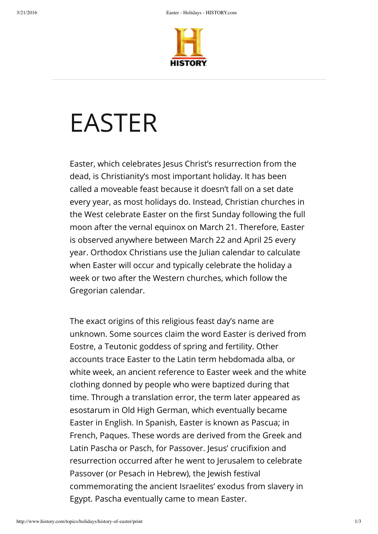

# EASTER

Easter, which celebrates Jesus Christ's resurrection from the dead, is Christianity's most important holiday. It has been called a moveable feast because it doesn't fall on a set date every year, as most holidays do. Instead, Christian churches in the West celebrate Easter on the first Sunday following the full moon after the vernal equinox on March 21. Therefore, Easter is observed anywhere between March 22 and April 25 every year. Orthodox Christians use the Julian calendar to calculate when Easter will occur and typically celebrate the holiday a week or two after the Western churches, which follow the Gregorian calendar.

The exact origins of this religious feast day's name are unknown. Some sources claim the word Easter is derived from Eostre, a Teutonic goddess of spring and fertility. Other accounts trace Easter to the Latin term hebdomada alba, or white week, an ancient reference to Easter week and the white clothing donned by people who were baptized during that time. Through a translation error, the term later appeared as esostarum in Old High German, which eventually became Easter in English. In Spanish, Easter is known as Pascua; in French, Paques. These words are derived from the Greek and Latin Pascha or Pasch, for Passover. Jesus' crucifixion and resurrection occurred after he went to Jerusalem to celebrate Passover (or Pesach in Hebrew), the Jewish festival commemorating the ancient Israelites' exodus from slavery in Egypt. Pascha eventually came to mean Easter.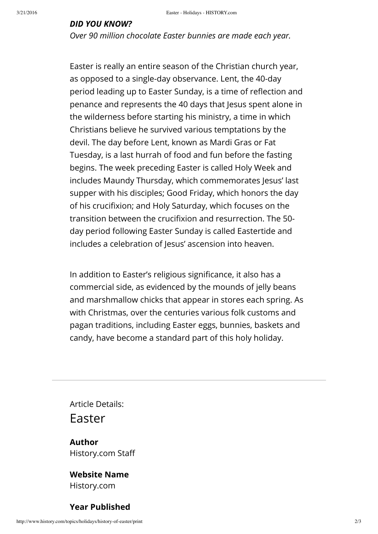#### *DID YOU KNOW?*

*Over 90 million chocolate Easter bunnies are made each year.*

Easter is really an entire season of the Christian church year, as opposed to a single-day observance. Lent, the 40-day period leading up to Easter Sunday, is a time of reflection and penance and represents the 40 days that Jesus spent alone in the wilderness before starting his ministry, a time in which Christians believe he survived various temptations by the devil. The day before Lent, known as Mardi Gras or Fat Tuesday, is a last hurrah of food and fun before the fasting begins. The week preceding Easter is called Holy Week and includes Maundy Thursday, which commemorates Jesus' last supper with his disciples; Good Friday, which honors the day of his crucifixion; and Holy Saturday, which focuses on the transition between the crucifixion and resurrection. The 50day period following Easter Sunday is called Eastertide and includes a celebration of Jesus' ascension into heaven.

In addition to Easter's religious significance, it also has a commercial side, as evidenced by the mounds of jelly beans and marshmallow chicks that appear in stores each spring. As with Christmas, over the centuries various folk customs and pagan traditions, including Easter eggs, bunnies, baskets and candy, have become a standard part of this holy holiday.

Article Details: Easter

**Author** History.com Sta

### **Website Name** History.com

#### **Year Published**